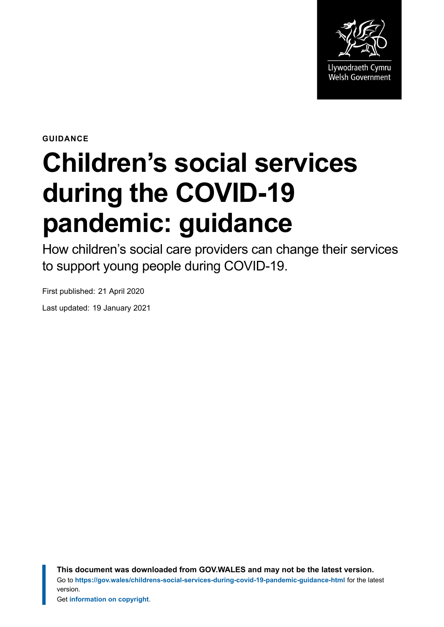

**GUIDANCE**

# **Children's social services during the COVID-19 pandemic: guidance**

How children's social care providers can change their services to support young people during COVID-19.

First published: 21 April 2020

Last updated: 19 January 2021

**This document was downloaded from GOV.WALES and may not be the latest version.** Go to **<https://gov.wales/childrens-social-services-during-covid-19-pandemic-guidance-html>** for the latest version.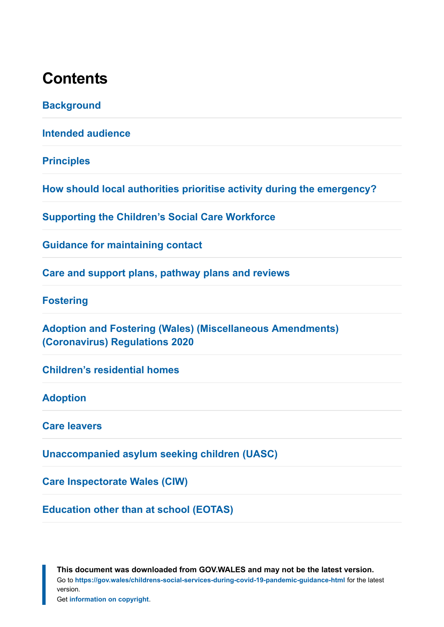### **Contents**

**[Background](#page-2-0)**

**[Intended audience](#page-3-0)**

**[Principles](#page-4-0)**

**[How should local authorities prioritise activity during the emergency?](#page-7-0)**

**[Supporting the Children's Social Care Workforce](#page-8-0)**

**[Guidance for maintaining contact](#page-10-0)**

**[Care and support plans, pathway plans and reviews](#page-19-0)**

**[Fostering](#page-20-0)**

**[Adoption and Fostering \(Wales\) \(Miscellaneous Amendments\)](#page-24-0) [\(Coronavirus\) Regulations 2020](#page-24-0)**

**[Children's residential homes](#page-25-0)**

#### **[Adoption](#page-26-0)**

**[Care leavers](#page-33-0)**

**[Unaccompanied asylum seeking children \(UASC\)](#page-36-0)**

**[Care Inspectorate Wales \(CIW\)](#page-37-0)**

**[Education other than at school \(EOTAS\)](#page-38-0)**

**This document was downloaded from GOV.WALES and may not be the latest version.** Go to **<https://gov.wales/childrens-social-services-during-covid-19-pandemic-guidance-html>** for the latest version.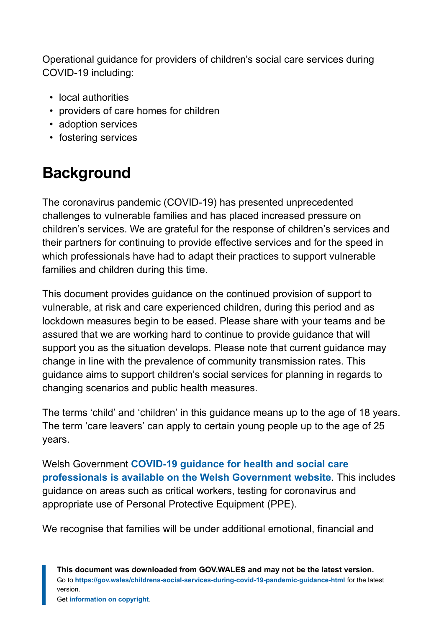Operational guidance for providers of children's social care services during COVID-19 including:

- local authorities
- providers of care homes for children
- adoption services
- fostering services

# <span id="page-2-0"></span>**Background**

The coronavirus pandemic (COVID-19) has presented unprecedented challenges to vulnerable families and has placed increased pressure on children's services. We are grateful for the response of children's services and their partners for continuing to provide effective services and for the speed in which professionals have had to adapt their practices to support vulnerable families and children during this time.

This document provides guidance on the continued provision of support to vulnerable, at risk and care experienced children, during this period and as lockdown measures begin to be eased. Please share with your teams and be assured that we are working hard to continue to provide guidance that will support you as the situation develops. Please note that current guidance may change in line with the prevalence of community transmission rates. This guidance aims to support children's social services for planning in regards to changing scenarios and public health measures.

The terms 'child' and 'children' in this guidance means up to the age of 18 years. The term 'care leavers' can apply to certain young people up to the age of 25 years.

Welsh Government **[COVID-19 guidance for health and social care](https://gov.wales/health-professionals-coronavirus) [professionals is available on the Welsh Government website](https://gov.wales/health-professionals-coronavirus)**. This includes guidance on areas such as critical workers, testing for coronavirus and appropriate use of Personal Protective Equipment (PPE).

We recognise that families will be under additional emotional, financial and

**This document was downloaded from GOV.WALES and may not be the latest version.** Go to **<https://gov.wales/childrens-social-services-during-covid-19-pandemic-guidance-html>** for the latest version.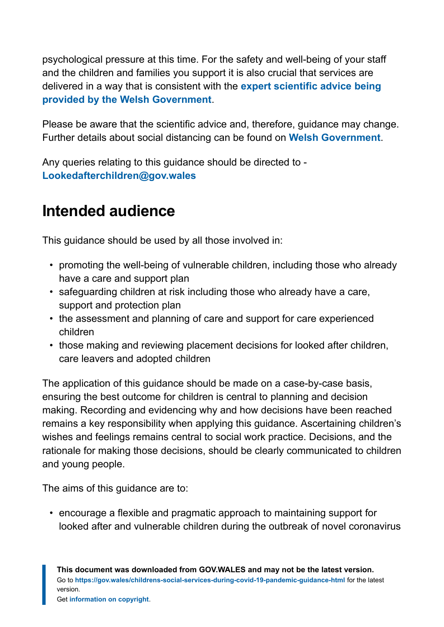psychological pressure at this time. For the safety and well-being of your staff and the children and families you support it is also crucial that services are delivered in a way that is consistent with the **[expert scientific advice being](https://gov.wales/staying-at-home-social-distancing) [provided by the Welsh Government](https://gov.wales/staying-at-home-social-distancing)**.

Please be aware that the scientific advice and, therefore, guidance may change. Further details about social distancing can be found on **[Welsh Government](https://gov.wales/coronavirus)**.

Any queries relating to this guidance should be directed to - **[Lookedafterchildren@gov.wales](mailto:Lookedafterchildren@gov.wales)**

# <span id="page-3-0"></span>**Intended audience**

This guidance should be used by all those involved in:

- promoting the well-being of vulnerable children, including those who already have a care and support plan
- safeguarding children at risk including those who already have a care, support and protection plan
- the assessment and planning of care and support for care experienced children
- those making and reviewing placement decisions for looked after children, care leavers and adopted children

The application of this guidance should be made on a case-by-case basis, ensuring the best outcome for children is central to planning and decision making. Recording and evidencing why and how decisions have been reached remains a key responsibility when applying this guidance. Ascertaining children's wishes and feelings remains central to social work practice. Decisions, and the rationale for making those decisions, should be clearly communicated to children and young people.

The aims of this guidance are to:

• encourage a flexible and pragmatic approach to maintaining support for looked after and vulnerable children during the outbreak of novel coronavirus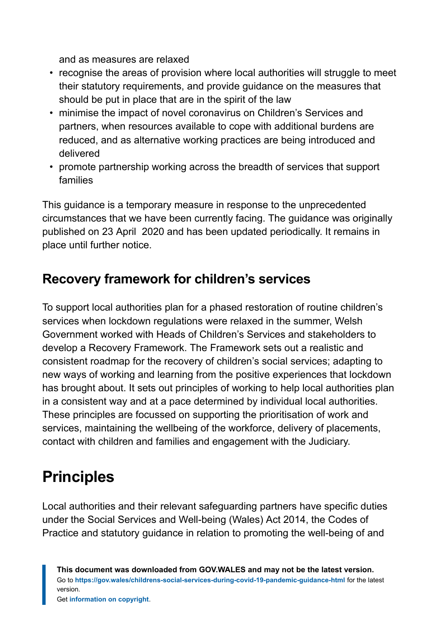and as measures are relaxed

- recognise the areas of provision where local authorities will struggle to meet their statutory requirements, and provide guidance on the measures that should be put in place that are in the spirit of the law
- minimise the impact of novel coronavirus on Children's Services and partners, when resources available to cope with additional burdens are reduced, and as alternative working practices are being introduced and delivered
- promote partnership working across the breadth of services that support families

This guidance is a temporary measure in response to the unprecedented circumstances that we have been currently facing. The guidance was originally published on 23 April 2020 and has been updated periodically. It remains in place until further notice.

### **Recovery framework for children's services**

To support local authorities plan for a phased restoration of routine children's services when lockdown regulations were relaxed in the summer, Welsh Government worked with Heads of Children's Services and stakeholders to develop a Recovery Framework. The Framework sets out a realistic and consistent roadmap for the recovery of children's social services; adapting to new ways of working and learning from the positive experiences that lockdown has brought about. It sets out principles of working to help local authorities plan in a consistent way and at a pace determined by individual local authorities. These principles are focussed on supporting the prioritisation of work and services, maintaining the wellbeing of the workforce, delivery of placements, contact with children and families and engagement with the Judiciary.

# <span id="page-4-0"></span>**Principles**

Local authorities and their relevant safeguarding partners have specific duties under the Social Services and Well-being (Wales) Act 2014, the Codes of Practice and statutory guidance in relation to promoting the well-being of and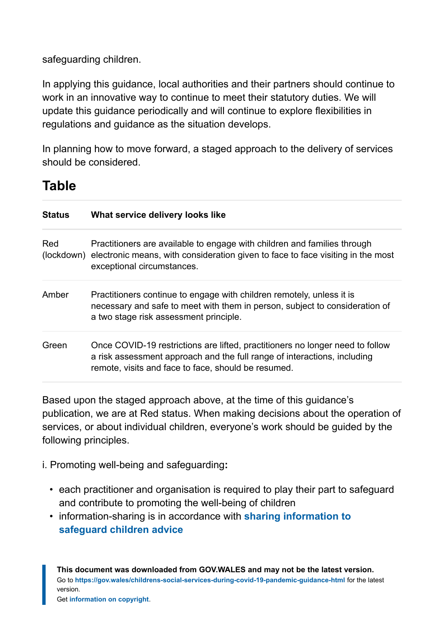safeguarding children.

In applying this guidance, local authorities and their partners should continue to work in an innovative way to continue to meet their statutory duties. We will update this guidance periodically and will continue to explore flexibilities in regulations and guidance as the situation develops.

In planning how to move forward, a staged approach to the delivery of services should be considered.

### **Table**

| <b>Status</b> | What service delivery looks like                                                                                                                                                                                 |
|---------------|------------------------------------------------------------------------------------------------------------------------------------------------------------------------------------------------------------------|
| Red           | Practitioners are available to engage with children and families through<br>(lockdown) electronic means, with consideration given to face to face visiting in the most<br>exceptional circumstances.             |
| Amber         | Practitioners continue to engage with children remotely, unless it is<br>necessary and safe to meet with them in person, subject to consideration of<br>a two stage risk assessment principle.                   |
| Green         | Once COVID-19 restrictions are lifted, practitioners no longer need to follow<br>a risk assessment approach and the full range of interactions, including<br>remote, visits and face to face, should be resumed. |

Based upon the staged approach above, at the time of this guidance's publication, we are at Red status. When making decisions about the operation of services, or about individual children, everyone's work should be guided by the following principles.

i. Promoting well-being and safeguarding**:**

- each practitioner and organisation is required to play their part to safeguard and contribute to promoting the well-being of children
- information-sharing is in accordance with **[sharing information to](https://gov.wales/sharing-information-safeguard-children) [safeguard children advice](https://gov.wales/sharing-information-safeguard-children)**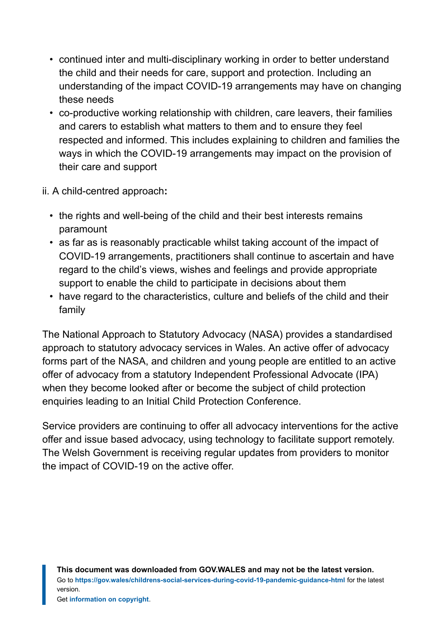- continued inter and multi-disciplinary working in order to better understand the child and their needs for care, support and protection. Including an understanding of the impact COVID-19 arrangements may have on changing these needs
- co-productive working relationship with children, care leavers, their families and carers to establish what matters to them and to ensure they feel respected and informed. This includes explaining to children and families the ways in which the COVID-19 arrangements may impact on the provision of their care and support
- ii. A child-centred approach**:**
	- the rights and well-being of the child and their best interests remains paramount
	- as far as is reasonably practicable whilst taking account of the impact of COVID-19 arrangements, practitioners shall continue to ascertain and have regard to the child's views, wishes and feelings and provide appropriate support to enable the child to participate in decisions about them
	- have regard to the characteristics, culture and beliefs of the child and their family

The National Approach to Statutory Advocacy (NASA) provides a standardised approach to statutory advocacy services in Wales. An active offer of advocacy forms part of the NASA, and children and young people are entitled to an active offer of advocacy from a statutory Independent Professional Advocate (IPA) when they become looked after or become the subject of child protection enquiries leading to an Initial Child Protection Conference.

Service providers are continuing to offer all advocacy interventions for the active offer and issue based advocacy, using technology to facilitate support remotely. The Welsh Government is receiving regular updates from providers to monitor the impact of COVID-19 on the active offer.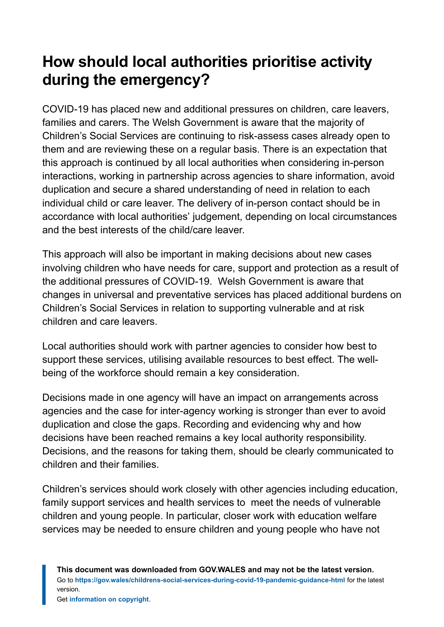# <span id="page-7-0"></span>**How should local authorities prioritise activity during the emergency?**

COVID-19 has placed new and additional pressures on children, care leavers, families and carers. The Welsh Government is aware that the majority of Children's Social Services are continuing to risk-assess cases already open to them and are reviewing these on a regular basis. There is an expectation that this approach is continued by all local authorities when considering in-person interactions, working in partnership across agencies to share information, avoid duplication and secure a shared understanding of need in relation to each individual child or care leaver. The delivery of in-person contact should be in accordance with local authorities' judgement, depending on local circumstances and the best interests of the child/care leaver.

This approach will also be important in making decisions about new cases involving children who have needs for care, support and protection as a result of the additional pressures of COVID-19. Welsh Government is aware that changes in universal and preventative services has placed additional burdens on Children's Social Services in relation to supporting vulnerable and at risk children and care leavers.

Local authorities should work with partner agencies to consider how best to support these services, utilising available resources to best effect. The wellbeing of the workforce should remain a key consideration.

Decisions made in one agency will have an impact on arrangements across agencies and the case for inter-agency working is stronger than ever to avoid duplication and close the gaps. Recording and evidencing why and how decisions have been reached remains a key local authority responsibility. Decisions, and the reasons for taking them, should be clearly communicated to children and their families.

Children's services should work closely with other agencies including education, family support services and health services to meet the needs of vulnerable children and young people. In particular, closer work with education welfare services may be needed to ensure children and young people who have not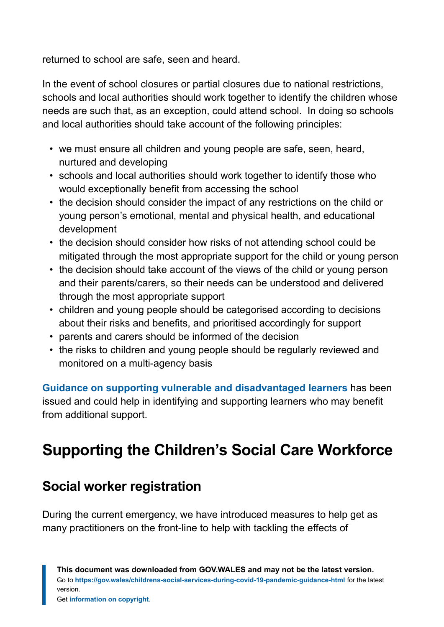returned to school are safe, seen and heard.

In the event of school closures or partial closures due to national restrictions, schools and local authorities should work together to identify the children whose needs are such that, as an exception, could attend school. In doing so schools and local authorities should take account of the following principles:

- we must ensure all children and young people are safe, seen, heard, nurtured and developing
- schools and local authorities should work together to identify those who would exceptionally benefit from accessing the school
- the decision should consider the impact of any restrictions on the child or young person's emotional, mental and physical health, and educational development
- the decision should consider how risks of not attending school could be mitigated through the most appropriate support for the child or young person
- the decision should take account of the views of the child or young person and their parents/carers, so their needs can be understood and delivered through the most appropriate support
- children and young people should be categorised according to decisions about their risks and benefits, and prioritised accordingly for support
- parents and carers should be informed of the decision
- the risks to children and young people should be regularly reviewed and monitored on a multi-agency basis

**[Guidance on supporting vulnerable and disadvantaged learners](https://gov.wales/guidance-supporting-vulnerable-and-disadvantaged-learners)** has been issued and could help in identifying and supporting learners who may benefit from additional support.

# <span id="page-8-0"></span>**Supporting the Children's Social Care Workforce**

### **Social worker registration**

During the current emergency, we have introduced measures to help get as many practitioners on the front-line to help with tackling the effects of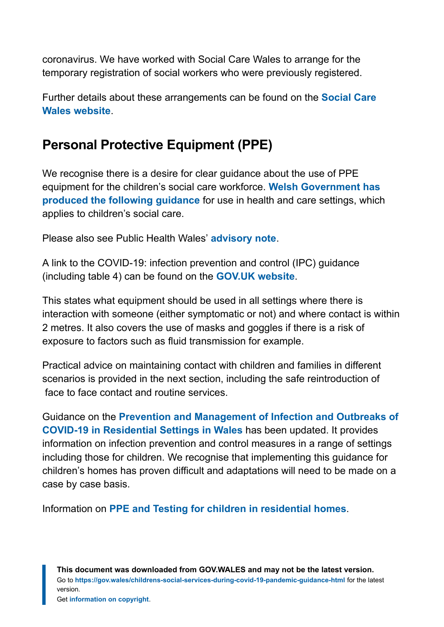coronavirus. We have worked with Social Care Wales to arrange for the temporary registration of social workers who were previously registered.

Further details about these arrangements can be found on the **[Social Care](https://socialcare.wales/registration/covid-19-temporary-registration-of-social-workers) [Wales website](https://socialcare.wales/registration/covid-19-temporary-registration-of-social-workers)**.

### **Personal Protective Equipment (PPE)**

We recognise there is a desire for clear guidance about the use of PPE equipment for the children's social care workforce. **[Welsh Government has](https://gov.wales/coronavirus-and-personal-protective-equipment-ppe) [produced the following guidance](https://gov.wales/coronavirus-and-personal-protective-equipment-ppe)** for use in health and care settings, which applies to children's social care.

Please also see Public Health Wales' **[advisory note](https://phw.nhs.wales/topics/latest-information-on-novel-coronavirus-covid-19/phw-advisory-note-housing-health-social-care-and-support-settings-examples-to-inform-implementation-of-the-covid-19-infection-prevention-and-control-guidance-including-use-of-personal-protective-equi/)**.

A link to the COVID-19: infection prevention and control (IPC) guidance (including table 4) can be found on the **[GOV.UK](https://www.gov.uk/government/publications/wuhan-novel-coronavirus-infection-prevention-and-control) website**.

This states what equipment should be used in all settings where there is interaction with someone (either symptomatic or not) and where contact is within 2 metres. It also covers the use of masks and goggles if there is a risk of exposure to factors such as fluid transmission for example.

Practical advice on maintaining contact with children and families in different scenarios is provided in the next section, including the safe reintroduction of face to face contact and routine services.

Guidance on the **[Prevention and Management of Infection and Outbreaks of](https://phw.nhs.wales/topics/latest-information-on-novel-coronavirus-covid-19/information-for-healthcare-workers-in-wales/prevention-and-management-of-infection-and-outbreaks-of-covid-19-in-residential-settings-in-wales-version-3-2/) [COVID-19 in Residential Settings in Wales](https://phw.nhs.wales/topics/latest-information-on-novel-coronavirus-covid-19/information-for-healthcare-workers-in-wales/prevention-and-management-of-infection-and-outbreaks-of-covid-19-in-residential-settings-in-wales-version-3-2/)** has been updated. It provides information on infection prevention and control measures in a range of settings including those for children. We recognise that implementing this guidance for children's homes has proven difficult and adaptations will need to be made on a case by case basis.

Information on **[PPE and Testing for children in residential homes](https://phw.nhs.wales/topics/latest-information-on-novel-coronavirus-covid-19/information-for-healthcare-workers-in-wales/childrens-residential-care-homes-faqs/)**.

**This document was downloaded from GOV.WALES and may not be the latest version.** Go to **<https://gov.wales/childrens-social-services-during-covid-19-pandemic-guidance-html>** for the latest version.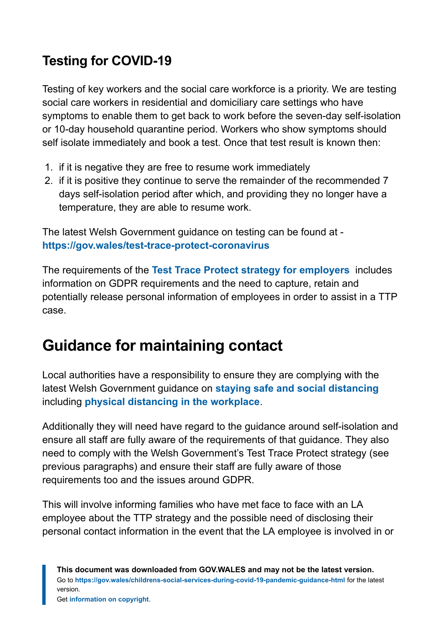### **Testing for COVID-19**

Testing of key workers and the social care workforce is a priority. We are testing social care workers in residential and domiciliary care settings who have symptoms to enable them to get back to work before the seven-day self-isolation or 10-day household quarantine period. Workers who show symptoms should self isolate immediately and book a test. Once that test result is known then:

- 1. if it is negative they are free to resume work immediately
- 2. if it is positive they continue to serve the remainder of the recommended 7 days self-isolation period after which, and providing they no longer have a temperature, they are able to resume work.

The latest Welsh Government guidance on testing can be found at **[https://gov.wales/test-trace-protect-coronavirus](https://eur01.safelinks.protection.outlook.com/?url=https%3A%2F%2Fgov.wales%2Ftest-trace-protect-coronavirus&data=04%7C01%7CRichard.Norman%40gov.wales%7Ccb2f805512da4aa03ae508d8a754acbb%7Ca2cc36c592804ae78887d06dab89216b%7C0%7C0%7C637443329396823943%7CUnknown%7CTWFpbGZsb3d8eyJWIjoiMC4wLjAwMDAiLCJQIjoiV2luMzIiLCJBTiI6Ik1haWwiLCJXVCI6Mn0%3D%7C1000&sdata=23WQced7e%2BopBYHE%2B%2FkJOykZ6AwvQseifMzVyq69PmI%3D&reserved=0)**

The requirements of the **[Test Trace Protect strategy for employers](https://eur01.safelinks.protection.outlook.com/?url=https%3A%2F%2Fgov.wales%2Ftest-trace-protect-guidance-employers&data=04%7C01%7CRichard.Norman%40gov.wales%7Ccb2f805512da4aa03ae508d8a754acbb%7Ca2cc36c592804ae78887d06dab89216b%7C0%7C0%7C637443329396833934%7CUnknown%7CTWFpbGZsb3d8eyJWIjoiMC4wLjAwMDAiLCJQIjoiV2luMzIiLCJBTiI6Ik1haWwiLCJXVCI6Mn0%3D%7C1000&sdata=AAZ0IXuFPcNXUXUx2pmvmJDkOjbSuFf9JaQkQP7oUfk%3D&reserved=0)** includes information on GDPR requirements and the need to capture, retain and potentially release personal information of employees in order to assist in a TTP case.

# <span id="page-10-0"></span>**Guidance for maintaining contact**

Local authorities have a responsibility to ensure they are complying with the latest Welsh Government guidance on **[staying safe and social distancing](https://gov.wales/protect-yourself-others-coronavirus)** including **[physical distancing in the workplace](https://gov.wales/workplace-guidance-employers-and-employees-covid19)**.

Additionally they will need have regard to the guidance around self-isolation and ensure all staff are fully aware of the requirements of that guidance. They also need to comply with the Welsh Government's Test Trace Protect strategy (see previous paragraphs) and ensure their staff are fully aware of those requirements too and the issues around GDPR.

This will involve informing families who have met face to face with an LA employee about the TTP strategy and the possible need of disclosing their personal contact information in the event that the LA employee is involved in or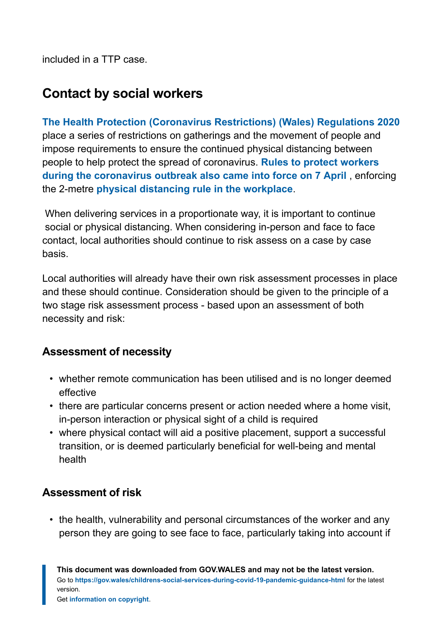included in a TTP case.

### **Contact by social workers**

**[The Health Protection \(Coronavirus Restrictions\) \(Wales\) Regulations 2020](https://gov.wales/health-protection-coronavirus-restrictions-wales-regulations-2020-amended)** place a series of restrictions on gatherings and the movement of people and impose requirements to ensure the continued physical distancing between people to help protect the spread of coronavirus. **[Rules to protect workers](https://gov.wales/two-metre-rule-will-protect-workers-wales-coronavirus) [during the coronavirus outbreak also came into force on 7 April](https://gov.wales/two-metre-rule-will-protect-workers-wales-coronavirus)** , enforcing the 2-metre **physical [distancing rule in the workplace](https://gov.wales/workplace-guidance-employers-and-employees-covid19)**.

When delivering services in a proportionate way, it is important to continue social or physical distancing. When considering in-person and face to face contact, local authorities should continue to risk assess on a case by case basis.

Local authorities will already have their own risk assessment processes in place and these should continue. Consideration should be given to the principle of a two stage risk assessment process - based upon an assessment of both necessity and risk:

#### **Assessment of necessity**

- whether remote communication has been utilised and is no longer deemed effective
- there are particular concerns present or action needed where a home visit, in-person interaction or physical sight of a child is required
- where physical contact will aid a positive placement, support a successful transition, or is deemed particularly beneficial for well-being and mental health

#### **Assessment of risk**

• the health, vulnerability and personal circumstances of the worker and any person they are going to see face to face, particularly taking into account if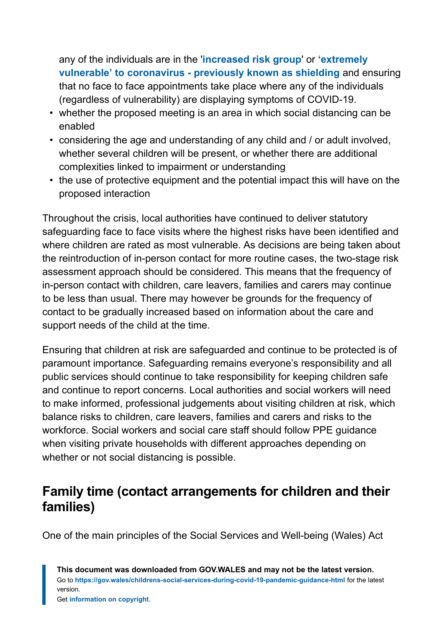any of the individuals are in the '**[increased risk group](https://gov.wales/people-increased-risk-coronavirus)**' or **['extremely](https://gov.wales/guidance-protecting-people-defined-medical-grounds-extremely-vulnerable-coronavirus-covid-19) [vulnerable' to coronavirus - previously known as shielding](https://gov.wales/guidance-protecting-people-defined-medical-grounds-extremely-vulnerable-coronavirus-covid-19)** and ensuring that no face to face appointments take place where any of the individuals (regardless of vulnerability) are displaying symptoms of COVID-19.

- whether the proposed meeting is an area in which social distancing can be enabled
- considering the age and understanding of any child and / or adult involved, whether several children will be present, or whether there are additional complexities linked to impairment or understanding
- the use of protective equipment and the potential impact this will have on the proposed interaction

Throughout the crisis, local authorities have continued to deliver statutory safeguarding face to face visits where the highest risks have been identified and where children are rated as most vulnerable. As decisions are being taken about the reintroduction of in-person contact for more routine cases, the two-stage risk assessment approach should be considered. This means that the frequency of in-person contact with children, care leavers, families and carers may continue to be less than usual. There may however be grounds for the frequency of contact to be gradually increased based on information about the care and support needs of the child at the time.

Ensuring that children at risk are safeguarded and continue to be protected is of paramount importance. Safeguarding remains everyone's responsibility and all public services should continue to take responsibility for keeping children safe and continue to report concerns. Local authorities and social workers will need to make informed, professional judgements about visiting children at risk, which balance risks to children, care leavers, families and carers and risks to the workforce. Social workers and social care staff should follow PPE guidance when visiting private households with different approaches depending on whether or not social distancing is possible.

### **Family time (contact arrangements for children and their families)**

One of the main principles of the Social Services and Well-being (Wales) Act

**This document was downloaded from GOV.WALES and may not be the latest version.** Go to **<https://gov.wales/childrens-social-services-during-covid-19-pandemic-guidance-html>** for the latest version.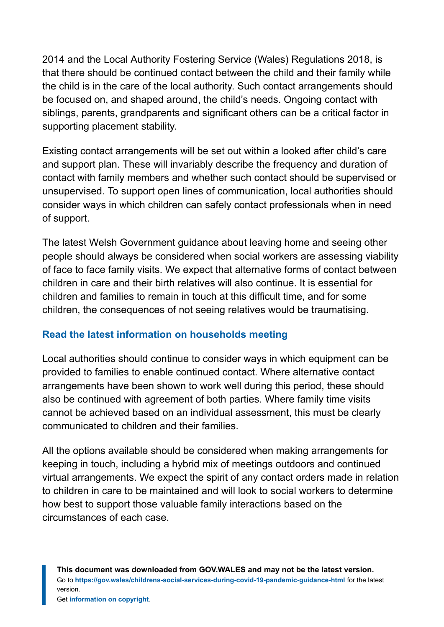2014 and the Local Authority Fostering Service (Wales) Regulations 2018, is that there should be continued contact between the child and their family while the child is in the care of the local authority. Such contact arrangements should be focused on, and shaped around, the child's needs. Ongoing contact with siblings, parents, grandparents and significant others can be a critical factor in supporting placement stability.

Existing contact arrangements will be set out within a looked after child's care and support plan. These will invariably describe the frequency and duration of contact with family members and whether such contact should be supervised or unsupervised. To support open lines of communication, local authorities should consider ways in which children can safely contact professionals when in need of support.

The latest Welsh Government guidance about leaving home and seeing other people should always be considered when social workers are assessing viability of face to face family visits. We expect that alternative forms of contact between children in care and their birth relatives will also continue. It is essential for children and families to remain in touch at this difficult time, and for some children, the consequences of not seeing relatives would be traumatising.

#### **[Read the latest information on households meeting](https://gov.wales/guidance-leaving-your-home-and-seeing-other-people-coronavirus#section-45727)**

Local authorities should continue to consider ways in which equipment can be provided to families to enable continued contact. Where alternative contact arrangements have been shown to work well during this period, these should also be continued with agreement of both parties. Where family time visits cannot be achieved based on an individual assessment, this must be clearly communicated to children and their families.

All the options available should be considered when making arrangements for keeping in touch, including a hybrid mix of meetings outdoors and continued virtual arrangements. We expect the spirit of any contact orders made in relation to children in care to be maintained and will look to social workers to determine how best to support those valuable family interactions based on the circumstances of each case.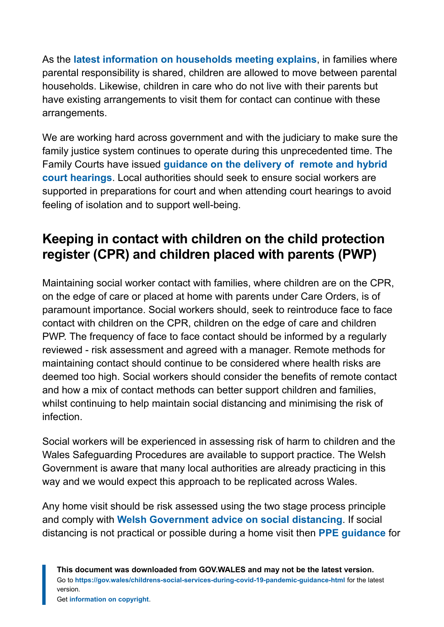As the **[latest information on households meeting explains](https://gov.wales/covid-19-alert-levels)**, in families where parental responsibility is shared, children are allowed to move between parental households. Likewise, children in care who do not live with their parents but have existing arrangements to visit them for contact can continue with these arrangements.

We are working hard across government and with the judiciary to make sure the family justice system continues to operate during this unprecedented time. The Family Courts have issued **[guidance on the delivery of](https://www.judiciary.uk/coronavirus-covid-19-advice-and-guidance/) remote and hybrid [court hearings](https://www.judiciary.uk/coronavirus-covid-19-advice-and-guidance/)**. Local authorities should seek to ensure social workers are supported in preparations for court and when attending court hearings to avoid feeling of isolation and to support well-being.

### **Keeping in contact with children on the child protection register (CPR) and children placed with parents (PWP)**

Maintaining social worker contact with families, where children are on the CPR, on the edge of care or placed at home with parents under Care Orders, is of paramount importance. Social workers should, seek to reintroduce face to face contact with children on the CPR, children on the edge of care and children PWP. The frequency of face to face contact should be informed by a regularly reviewed - risk assessment and agreed with a manager. Remote methods for maintaining contact should continue to be considered where health risks are deemed too high. Social workers should consider the benefits of remote contact and how a mix of contact methods can better support children and families, whilst continuing to help maintain social distancing and minimising the risk of infection.

Social workers will be experienced in assessing risk of harm to children and the Wales Safeguarding Procedures are available to support practice. The Welsh Government is aware that many local authorities are already practicing in this way and we would expect this approach to be replicated across Wales.

Any home visit should be risk assessed using the two stage process principle and comply with **[Welsh Government advice on social distancing](https://gov.wales/coronavirus-social-distancing-guidance)**. If social distancing is not practical or possible during a home visit then **[PPE guidance](https://gov.wales/coronavirus-and-personal-protective-equipment-ppe)** for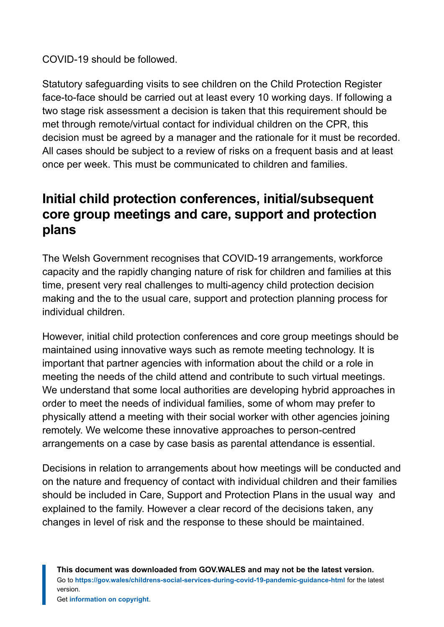COVID-19 should be followed.

Statutory safeguarding visits to see children on the Child Protection Register face-to-face should be carried out at least every 10 working days. If following a two stage risk assessment a decision is taken that this requirement should be met through remote/virtual contact for individual children on the CPR, this decision must be agreed by a manager and the rationale for it must be recorded. All cases should be subject to a review of risks on a frequent basis and at least once per week. This must be communicated to children and families.

### **Initial child protection conferences, initial/subsequent core group meetings and care, support and protection plans**

The Welsh Government recognises that COVID-19 arrangements, workforce capacity and the rapidly changing nature of risk for children and families at this time, present very real challenges to multi-agency child protection decision making and the to the usual care, support and protection planning process for individual children.

However, initial child protection conferences and core group meetings should be maintained using innovative ways such as remote meeting technology. It is important that partner agencies with information about the child or a role in meeting the needs of the child attend and contribute to such virtual meetings. We understand that some local authorities are developing hybrid approaches in order to meet the needs of individual families, some of whom may prefer to physically attend a meeting with their social worker with other agencies joining remotely. We welcome these innovative approaches to person-centred arrangements on a case by case basis as parental attendance is essential.

Decisions in relation to arrangements about how meetings will be conducted and on the nature and frequency of contact with individual children and their families should be included in Care, Support and Protection Plans in the usual way and explained to the family. However a clear record of the decisions taken, any changes in level of risk and the response to these should be maintained.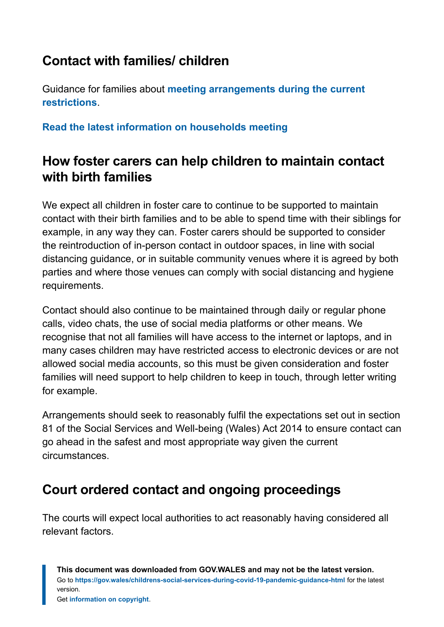### **Contact with families/ children**

Guidance for families about **[meeting arrangements during the current](https://gov.wales/coronavirus-regulations-guidance#section-39247) [restrictions](https://gov.wales/coronavirus-regulations-guidance#section-39247)**.

**[Read the latest information on households meeting](https://gov.wales/guidance-leaving-your-home-and-seeing-other-people-coronavirus#section-45727)**

### **How foster carers can help children to maintain contact with birth families**

We expect all children in foster care to continue to be supported to maintain contact with their birth families and to be able to spend time with their siblings for example, in any way they can. Foster carers should be supported to consider the reintroduction of in-person contact in outdoor spaces, in line with social distancing guidance, or in suitable community venues where it is agreed by both parties and where those venues can comply with social distancing and hygiene requirements.

Contact should also continue to be maintained through daily or regular phone calls, video chats, the use of social media platforms or other means. We recognise that not all families will have access to the internet or laptops, and in many cases children may have restricted access to electronic devices or are not allowed social media accounts, so this must be given consideration and foster families will need support to help children to keep in touch, through letter writing for example.

Arrangements should seek to reasonably fulfil the expectations set out in section 81 of the Social Services and Well-being (Wales) Act 2014 to ensure contact can go ahead in the safest and most appropriate way given the current circumstances.

### **Court ordered contact and ongoing proceedings**

The courts will expect local authorities to act reasonably having considered all relevant factors.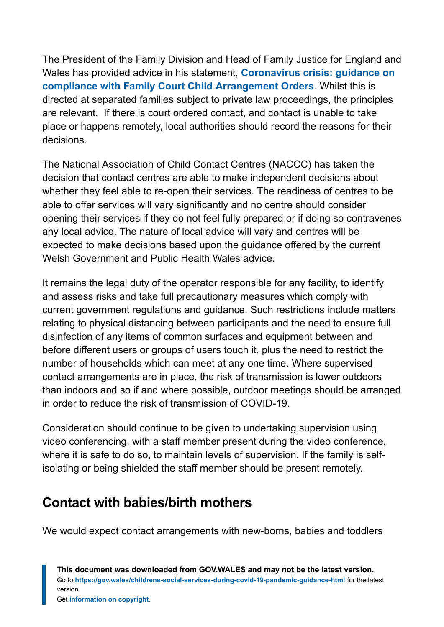The President of the Family Division and Head of Family Justice for England and Wales has provided advice in his statement, **[Coronavirus crisis: guidance on](https://www.judiciary.uk/announcements/coronavirus-crisis-guidance-on-compliance-with-family-court-child-arrangement-orders/) [compliance with Family Court Child Arrangement Orders](https://www.judiciary.uk/announcements/coronavirus-crisis-guidance-on-compliance-with-family-court-child-arrangement-orders/)**. Whilst this is directed at separated families subject to private law proceedings, the principles are relevant. If there is court ordered contact, and contact is unable to take place or happens remotely, local authorities should record the reasons for their decisions.

The National Association of Child Contact Centres (NACCC) has taken the decision that contact centres are able to make independent decisions about whether they feel able to re-open their services. The readiness of centres to be able to offer services will vary significantly and no centre should consider opening their services if they do not feel fully prepared or if doing so contravenes any local advice. The nature of local advice will vary and centres will be expected to make decisions based upon the guidance offered by the current Welsh Government and Public Health Wales advice.

It remains the legal duty of the operator responsible for any facility, to identify and assess risks and take full precautionary measures which comply with current government regulations and guidance. Such restrictions include matters relating to physical distancing between participants and the need to ensure full disinfection of any items of common surfaces and equipment between and before different users or groups of users touch it, plus the need to restrict the number of households which can meet at any one time. Where supervised contact arrangements are in place, the risk of transmission is lower outdoors than indoors and so if and where possible, outdoor meetings should be arranged in order to reduce the risk of transmission of COVID-19.

Consideration should continue to be given to undertaking supervision using video conferencing, with a staff member present during the video conference, where it is safe to do so, to maintain levels of supervision. If the family is selfisolating or being shielded the staff member should be present remotely.

### **Contact with babies/birth mothers**

We would expect contact arrangements with new-borns, babies and toddlers

**This document was downloaded from GOV.WALES and may not be the latest version.** Go to **<https://gov.wales/childrens-social-services-during-covid-19-pandemic-guidance-html>** for the latest version.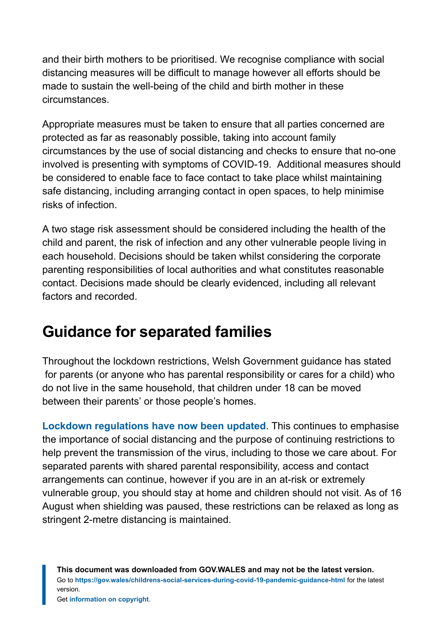and their birth mothers to be prioritised. We recognise compliance with social distancing measures will be difficult to manage however all efforts should be made to sustain the well-being of the child and birth mother in these circumstances.

Appropriate measures must be taken to ensure that all parties concerned are protected as far as reasonably possible, taking into account family circumstances by the use of social distancing and checks to ensure that no-one involved is presenting with symptoms of COVID-19. Additional measures should be considered to enable face to face contact to take place whilst maintaining safe distancing, including arranging contact in open spaces, to help minimise risks of infection.

A two stage risk assessment should be considered including the health of the child and parent, the risk of infection and any other vulnerable people living in each household. Decisions should be taken whilst considering the corporate parenting responsibilities of local authorities and what constitutes reasonable contact. Decisions made should be clearly evidenced, including all relevant factors and recorded.

### **Guidance for separated families**

Throughout the lockdown restrictions, Welsh Government guidance has stated for parents (or anyone who has parental responsibility or cares for a child) who do not live in the same household, that children under 18 can be moved between their parents' or those people's homes.

**[Lockdown regulations have now been updated](https://gov.wales/coronavirus-regulations-guidance)**. This continues to emphasise the importance of social distancing and the purpose of continuing restrictions to help prevent the transmission of the virus, including to those we care about. For separated parents with shared parental responsibility, access and contact arrangements can continue, however if you are in an at-risk or extremely vulnerable group, you should stay at home and children should not visit. As of 16 August when shielding was paused, these restrictions can be relaxed as long as stringent 2-metre distancing is maintained.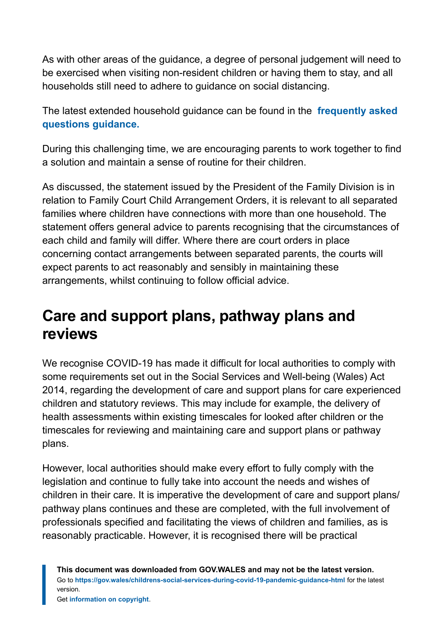As with other areas of the guidance, a degree of personal judgement will need to be exercised when visiting non-resident children or having them to stay, and all households still need to adhere to guidance on social distancing.

The latest extended household guidance can be found in the **[frequently asked](https://eur01.safelinks.protection.outlook.com/?url=https%3A%2F%2Fgov.wales%2Fcoronavirus-regulations-guidance&data=04%7C01%7CHSS-DigitalTeam%40gov.wales%7C192d5f1d377342fd674408d8a6ad9a88%7Ca2cc36c592804ae78887d06dab89216b%7C0%7C0%7C637442611835193484%7CUnknown%7CTWFpbGZsb3d8eyJWIjoiMC4wLjAwMDAiLCJQIjoiV2luMzIiLCJBTiI6Ik1haWwiLCJXVCI6Mn0%3D%7C1000&sdata=W9%2FGKu3KnRKExTrrC5oUIHDvS2d2HWv%2Bp9ZIEMo1WCs%3D&reserved=0) [questions guidance.](https://eur01.safelinks.protection.outlook.com/?url=https%3A%2F%2Fgov.wales%2Fcoronavirus-regulations-guidance&data=04%7C01%7CHSS-DigitalTeam%40gov.wales%7C192d5f1d377342fd674408d8a6ad9a88%7Ca2cc36c592804ae78887d06dab89216b%7C0%7C0%7C637442611835193484%7CUnknown%7CTWFpbGZsb3d8eyJWIjoiMC4wLjAwMDAiLCJQIjoiV2luMzIiLCJBTiI6Ik1haWwiLCJXVCI6Mn0%3D%7C1000&sdata=W9%2FGKu3KnRKExTrrC5oUIHDvS2d2HWv%2Bp9ZIEMo1WCs%3D&reserved=0)**

During this challenging time, we are encouraging parents to work together to find a solution and maintain a sense of routine for their children.

As discussed, the statement issued by the President of the Family Division is in relation to Family Court Child Arrangement Orders, it is relevant to all separated families where children have connections with more than one household. The statement offers general advice to parents recognising that the circumstances of each child and family will differ. Where there are court orders in place concerning contact arrangements between separated parents, the courts will expect parents to act reasonably and sensibly in maintaining these arrangements, whilst continuing to follow official advice.

# <span id="page-19-0"></span>**Care and support plans, pathway plans and reviews**

We recognise COVID-19 has made it difficult for local authorities to comply with some requirements set out in the Social Services and Well-being (Wales) Act 2014, regarding the development of care and support plans for care experienced children and statutory reviews. This may include for example, the delivery of health assessments within existing timescales for looked after children or the timescales for reviewing and maintaining care and support plans or pathway plans.

However, local authorities should make every effort to fully comply with the legislation and continue to fully take into account the needs and wishes of children in their care. It is imperative the development of care and support plans/ pathway plans continues and these are completed, with the full involvement of professionals specified and facilitating the views of children and families, as is reasonably practicable. However, it is recognised there will be practical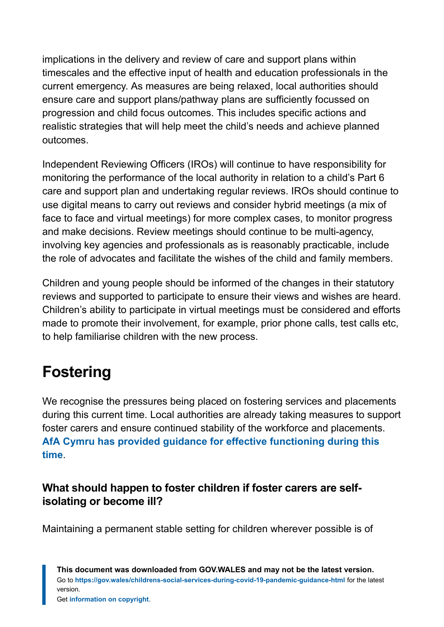implications in the delivery and review of care and support plans within timescales and the effective input of health and education professionals in the current emergency. As measures are being relaxed, local authorities should ensure care and support plans/pathway plans are sufficiently focussed on progression and child focus outcomes. This includes specific actions and realistic strategies that will help meet the child's needs and achieve planned outcomes.

Independent Reviewing Officers (IROs) will continue to have responsibility for monitoring the performance of the local authority in relation to a child's Part 6 care and support plan and undertaking regular reviews. IROs should continue to use digital means to carry out reviews and consider hybrid meetings (a mix of face to face and virtual meetings) for more complex cases, to monitor progress and make decisions. Review meetings should continue to be multi-agency, involving key agencies and professionals as is reasonably practicable, include the role of advocates and facilitate the wishes of the child and family members.

Children and young people should be informed of the changes in their statutory reviews and supported to participate to ensure their views and wishes are heard. Children's ability to participate in virtual meetings must be considered and efforts made to promote their involvement, for example, prior phone calls, test calls etc, to help familiarise children with the new process.

# <span id="page-20-0"></span>**Fostering**

We recognise the pressures being placed on fostering services and placements during this current time. Local authorities are already taking measures to support foster carers and ensure continued stability of the workforce and placements. **[AfA Cymru has provided guidance for effective functioning during this](https://www.afacymru.org.uk/fostering-during-covid-19/) [time](https://www.afacymru.org.uk/fostering-during-covid-19/)**.

#### **What should happen to foster children if foster carers are selfisolating or become ill?**

Maintaining a permanent stable setting for children wherever possible is of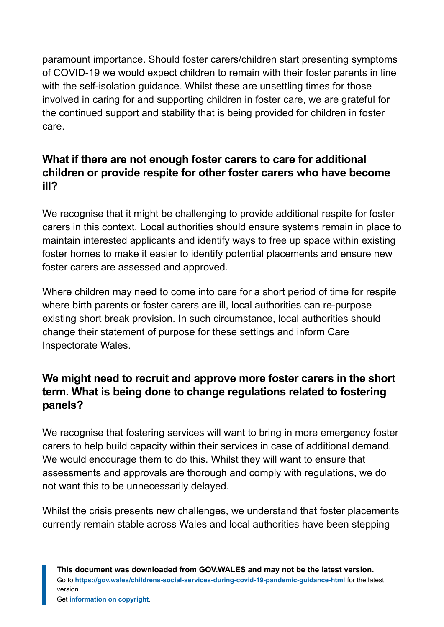paramount importance. Should foster carers/children start presenting symptoms of COVID-19 we would expect children to remain with their foster parents in line with the self-isolation quidance. Whilst these are unsettling times for those involved in caring for and supporting children in foster care, we are grateful for the continued support and stability that is being provided for children in foster care.

#### **What if there are not enough foster carers to care for additional children or provide respite for other foster carers who have become ill?**

We recognise that it might be challenging to provide additional respite for foster carers in this context. Local authorities should ensure systems remain in place to maintain interested applicants and identify ways to free up space within existing foster homes to make it easier to identify potential placements and ensure new foster carers are assessed and approved.

Where children may need to come into care for a short period of time for respite where birth parents or foster carers are ill, local authorities can re-purpose existing short break provision. In such circumstance, local authorities should change their statement of purpose for these settings and inform Care Inspectorate Wales.

#### **We might need to recruit and approve more foster carers in the short term. What is being done to change regulations related to fostering panels?**

We recognise that fostering services will want to bring in more emergency foster carers to help build capacity within their services in case of additional demand. We would encourage them to do this. Whilst they will want to ensure that assessments and approvals are thorough and comply with regulations, we do not want this to be unnecessarily delayed.

Whilst the crisis presents new challenges, we understand that foster placements currently remain stable across Wales and local authorities have been stepping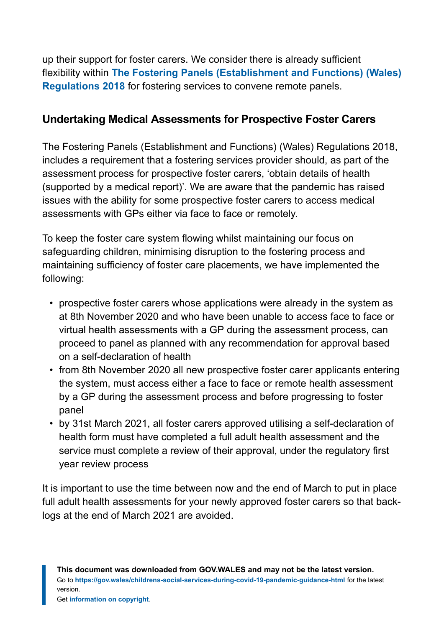up their support for foster carers. We consider there is already sufficient flexibility within **[The Fostering Panels \(Establishment and Functions\) \(Wales\)](https://www.legislation.gov.uk/wsi/2018/1333/contents/made) [Regulations 2018](https://www.legislation.gov.uk/wsi/2018/1333/contents/made)** for fostering services to convene remote panels.

#### **Undertaking Medical Assessments for Prospective Foster Carers**

The Fostering Panels (Establishment and Functions) (Wales) Regulations 2018, includes a requirement that a fostering services provider should, as part of the assessment process for prospective foster carers, 'obtain details of health (supported by a medical report)'. We are aware that the pandemic has raised issues with the ability for some prospective foster carers to access medical assessments with GPs either via face to face or remotely.

To keep the foster care system flowing whilst maintaining our focus on safeguarding children, minimising disruption to the fostering process and maintaining sufficiency of foster care placements, we have implemented the following:

- prospective foster carers whose applications were already in the system as at 8th November 2020 and who have been unable to access face to face or virtual health assessments with a GP during the assessment process, can proceed to panel as planned with any recommendation for approval based on a self-declaration of health
- from 8th November 2020 all new prospective foster carer applicants entering the system, must access either a face to face or remote health assessment by a GP during the assessment process and before progressing to foster panel
- by 31st March 2021, all foster carers approved utilising a self-declaration of health form must have completed a full adult health assessment and the service must complete a review of their approval, under the regulatory first year review process

It is important to use the time between now and the end of March to put in place full adult health assessments for your newly approved foster carers so that backlogs at the end of March 2021 are avoided.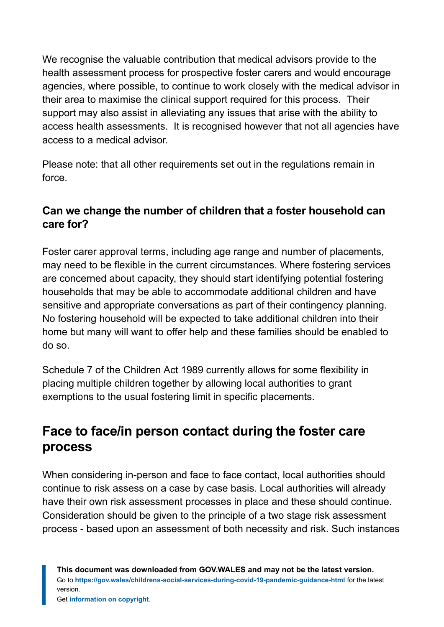We recognise the valuable contribution that medical advisors provide to the health assessment process for prospective foster carers and would encourage agencies, where possible, to continue to work closely with the medical advisor in their area to maximise the clinical support required for this process. Their support may also assist in alleviating any issues that arise with the ability to access health assessments. It is recognised however that not all agencies have access to a medical advisor.

Please note: that all other requirements set out in the regulations remain in force.

#### **Can we change the number of children that a foster household can care for?**

Foster carer approval terms, including age range and number of placements, may need to be flexible in the current circumstances. Where fostering services are concerned about capacity, they should start identifying potential fostering households that may be able to accommodate additional children and have sensitive and appropriate conversations as part of their contingency planning. No fostering household will be expected to take additional children into their home but many will want to offer help and these families should be enabled to do so.

Schedule 7 of the Children Act 1989 currently allows for some flexibility in placing multiple children together by allowing local authorities to grant exemptions to the usual fostering limit in specific placements.

### **Face to face/in person contact during the foster care process**

When considering in-person and face to face contact, local authorities should continue to risk assess on a case by case basis. Local authorities will already have their own risk assessment processes in place and these should continue. Consideration should be given to the principle of a two stage risk assessment process - based upon an assessment of both necessity and risk. Such instances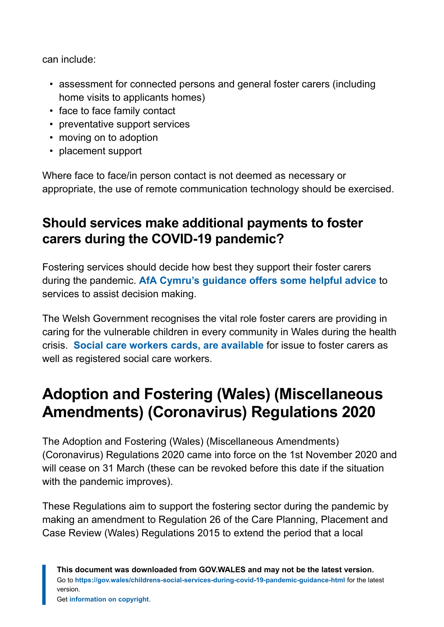can include:

- assessment for connected persons and general foster carers (including home visits to applicants homes)
- face to face family contact
- preventative support services
- moving on to adoption
- placement support

Where face to face/in person contact is not deemed as necessary or appropriate, the use of remote communication technology should be exercised.

### **Should services make additional payments to foster carers during the COVID-19 pandemic?**

Fostering services should decide how best they support their foster carers during the pandemic. **[AfA Cymru's guidance offers some helpful advice](https://www.afacymru.org.uk/fostering-during-covid-19/)** to services to assist decision making.

The Welsh Government recognises the vital role foster carers are providing in caring for the vulnerable children in every community in Wales during the health crisis. **[Social care workers cards, are available](https://socialcare.wales/service-improvement/social-care-worker-card-faqs)** for issue to foster carers as well as registered social care workers.

# <span id="page-24-0"></span>**Adoption and Fostering (Wales) (Miscellaneous Amendments) (Coronavirus) Regulations 2020**

The Adoption and Fostering (Wales) (Miscellaneous Amendments) (Coronavirus) Regulations 2020 came into force on the 1st November 2020 and will cease on 31 March (these can be revoked before this date if the situation with the pandemic improves).

These Regulations aim to support the fostering sector during the pandemic by making an amendment to Regulation 26 of the Care Planning, Placement and Case Review (Wales) Regulations 2015 to extend the period that a local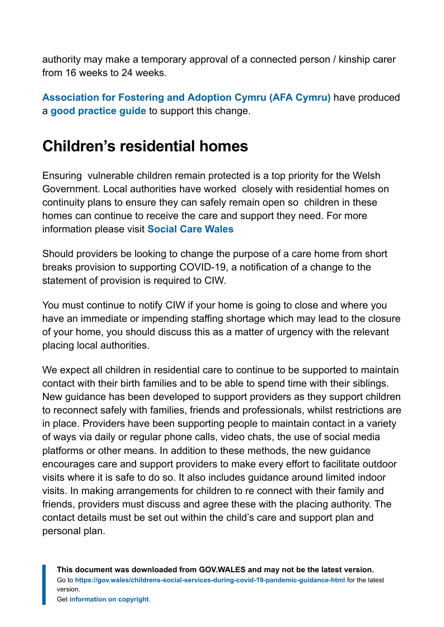authority may make a temporary approval of a connected person / kinship carer from 16 weeks to 24 weeks.

**[Association for Fostering and Adoption Cymru \(AFA Cymru\)](https://www.adoptcymru.com/)** have produced a **[good practice guide](https://www.afacymru.org.uk/wp-content/uploads/2020/11/WGguideCovidreg26.pdf)** to support this change.

### <span id="page-25-0"></span>**Children's residential homes**

Ensuring vulnerable children remain protected is a top priority for the Welsh Government. Local authorities have worked closely with residential homes on continuity plans to ensure they can safely remain open so children in these homes can continue to receive the care and support they need. For more information please visit **[Social Care Wales](https://socialcare.wales/service-improvement/information-and-resources-to-guide-you-through-covid-19)**

Should providers be looking to change the purpose of a care home from short breaks provision to supporting COVID-19, a notification of a change to the statement of provision is required to CIW.

You must continue to notify CIW if your home is going to close and where you have an immediate or impending staffing shortage which may lead to the closure of your home, you should discuss this as a matter of urgency with the relevant placing local authorities.

We expect all children in residential care to continue to be supported to maintain contact with their birth families and to be able to spend time with their siblings. New guidance has been developed to support providers as they support children to reconnect safely with families, friends and professionals, whilst restrictions are in place. Providers have been supporting people to maintain contact in a variety of ways via daily or regular phone calls, video chats, the use of social media platforms or other means. In addition to these methods, the new guidance encourages care and support providers to make every effort to facilitate outdoor visits where it is safe to do so. It also includes guidance around limited indoor visits. In making arrangements for children to re connect with their family and friends, providers must discuss and agree these with the placing authority. The contact details must be set out within the child's care and support plan and personal plan.

**This document was downloaded from GOV.WALES and may not be the latest version.** Go to **<https://gov.wales/childrens-social-services-during-covid-19-pandemic-guidance-html>** for the latest version.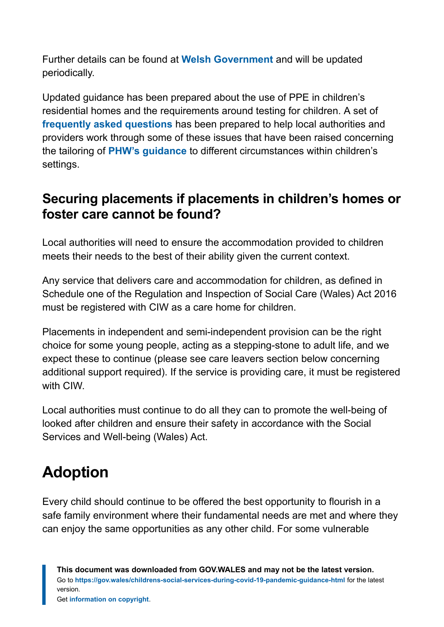Further details can be found at **[Welsh Government](https://gov.wales/visits-care-homes-guidance-providers)** and will be updated periodically.

Updated guidance has been prepared about the use of PPE in children's residential homes and the requirements around testing for children. A set of **[frequently asked questions](https://phw.nhs.wales/topics/latest-information-on-novel-coronavirus-covid-19/information-for-healthcare-workers-in-wales/childrens-residential-care-homes-faqs/)** has been prepared to help local authorities and providers work through some of these issues that have been raised concerning the tailoring of **[PHW's guidance](https://phw.nhs.wales/topics/latest-information-on-novel-coronavirus-covid-19/information-for-health-and-social-care/prevention-and-management-of-infection-and-outbreaks-of-covid-19-in-residential-settings-in-wales-version-4/)** to different circumstances within children's settings.

### **Securing placements if placements in children's homes or foster care cannot be found?**

Local authorities will need to ensure the accommodation provided to children meets their needs to the best of their ability given the current context.

Any service that delivers care and accommodation for children, as defined in Schedule one of the Regulation and Inspection of Social Care (Wales) Act 2016 must be registered with CIW as a care home for children.

Placements in independent and semi-independent provision can be the right choice for some young people, acting as a stepping-stone to adult life, and we expect these to continue (please see care leavers section below concerning additional support required). If the service is providing care, it must be registered with CIW.

Local authorities must continue to do all they can to promote the well-being of looked after children and ensure their safety in accordance with the Social Services and Well-being (Wales) Act.

# <span id="page-26-0"></span>**Adoption**

Every child should continue to be offered the best opportunity to flourish in a safe family environment where their fundamental needs are met and where they can enjoy the same opportunities as any other child. For some vulnerable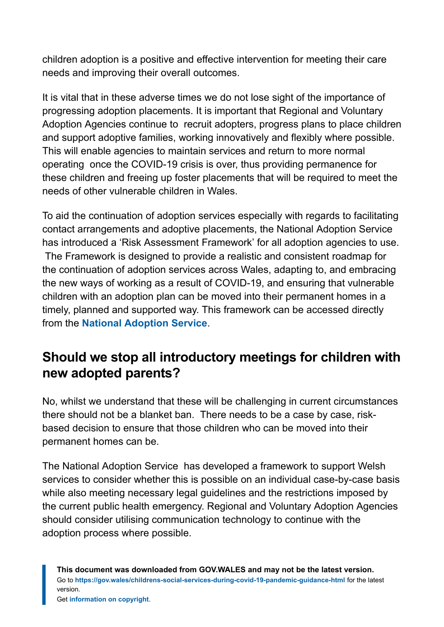children adoption is a positive and effective intervention for meeting their care needs and improving their overall outcomes.

It is vital that in these adverse times we do not lose sight of the importance of progressing adoption placements. It is important that Regional and Voluntary Adoption Agencies continue to recruit adopters, progress plans to place children and support adoptive families, working innovatively and flexibly where possible. This will enable agencies to maintain services and return to more normal operating once the COVID-19 crisis is over, thus providing permanence for these children and freeing up foster placements that will be required to meet the needs of other vulnerable children in Wales.

To aid the continuation of adoption services especially with regards to facilitating contact arrangements and adoptive placements, the National Adoption Service has introduced a 'Risk Assessment Framework' for all adoption agencies to use. The Framework is designed to provide a realistic and consistent roadmap for the continuation of adoption services across Wales, adapting to, and embracing the new ways of working as a result of COVID-19, and ensuring that vulnerable children with an adoption plan can be moved into their permanent homes in a timely, planned and supported way. This framework can be accessed directly from the **[National Adoption Service](https://www.adoptcymru.com/)**.

### **Should we stop all introductory meetings for children with new adopted parents?**

No, whilst we understand that these will be challenging in current circumstances there should not be a blanket ban. There needs to be a case by case, riskbased decision to ensure that those children who can be moved into their permanent homes can be.

The National Adoption Service has developed a framework to support Welsh services to consider whether this is possible on an individual case-by-case basis while also meeting necessary legal guidelines and the restrictions imposed by the current public health emergency. Regional and Voluntary Adoption Agencies should consider utilising communication technology to continue with the adoption process where possible.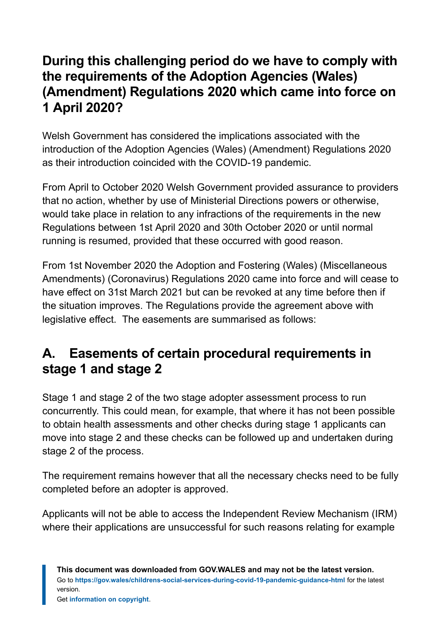### **During this challenging period do we have to comply with the requirements of the Adoption Agencies (Wales) (Amendment) Regulations 2020 which came into force on 1 April 2020?**

Welsh Government has considered the implications associated with the introduction of the Adoption Agencies (Wales) (Amendment) Regulations 2020 as their introduction coincided with the COVID-19 pandemic.

From April to October 2020 Welsh Government provided assurance to providers that no action, whether by use of Ministerial Directions powers or otherwise, would take place in relation to any infractions of the requirements in the new Regulations between 1st April 2020 and 30th October 2020 or until normal running is resumed, provided that these occurred with good reason.

From 1st November 2020 the Adoption and Fostering (Wales) (Miscellaneous Amendments) (Coronavirus) Regulations 2020 came into force and will cease to have effect on 31st March 2021 but can be revoked at any time before then if the situation improves. The Regulations provide the agreement above with legislative effect. The easements are summarised as follows:

### **A. Easements of certain procedural requirements in stage 1 and stage 2**

Stage 1 and stage 2 of the two stage adopter assessment process to run concurrently. This could mean, for example, that where it has not been possible to obtain health assessments and other checks during stage 1 applicants can move into stage 2 and these checks can be followed up and undertaken during stage 2 of the process.

The requirement remains however that all the necessary checks need to be fully completed before an adopter is approved.

Applicants will not be able to access the Independent Review Mechanism (IRM) where their applications are unsuccessful for such reasons relating for example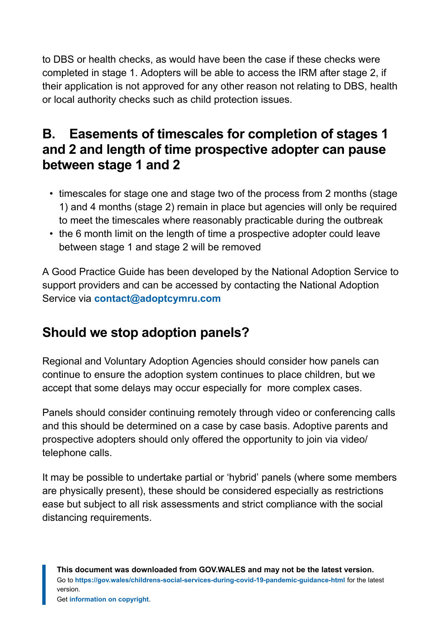to DBS or health checks, as would have been the case if these checks were completed in stage 1. Adopters will be able to access the IRM after stage 2, if their application is not approved for any other reason not relating to DBS, health or local authority checks such as child protection issues.

### **B. Easements of timescales for completion of stages 1 and 2 and length of time prospective adopter can pause between stage 1 and 2**

- timescales for stage one and stage two of the process from 2 months (stage 1) and 4 months (stage 2) remain in place but agencies will only be required to meet the timescales where reasonably practicable during the outbreak
- the 6 month limit on the length of time a prospective adopter could leave between stage 1 and stage 2 will be removed

A Good Practice Guide has been developed by the National Adoption Service to support providers and can be accessed by contacting the National Adoption Service via **[contact@adoptcymru.com](mailto:contact@adoptcymru.com)**

### **Should we stop adoption panels?**

Regional and Voluntary Adoption Agencies should consider how panels can continue to ensure the adoption system continues to place children, but we accept that some delays may occur especially for more complex cases.

Panels should consider continuing remotely through video or conferencing calls and this should be determined on a case by case basis. Adoptive parents and prospective adopters should only offered the opportunity to join via video/ telephone calls.

It may be possible to undertake partial or 'hybrid' panels (where some members are physically present), these should be considered especially as restrictions ease but subject to all risk assessments and strict compliance with the social distancing requirements.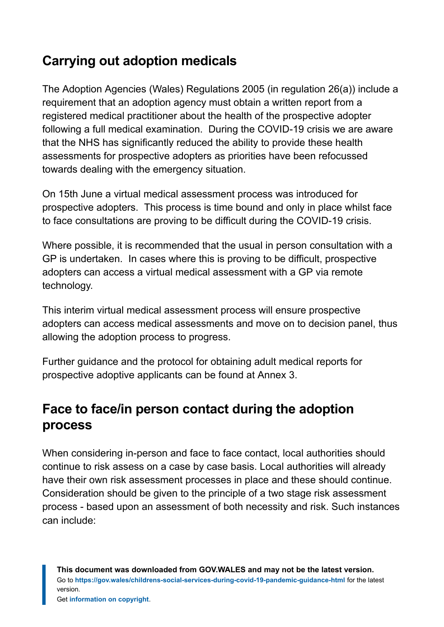### **Carrying out adoption medicals**

The Adoption Agencies (Wales) Regulations 2005 (in regulation 26(a)) include a requirement that an adoption agency must obtain a written report from a registered medical practitioner about the health of the prospective adopter following a full medical examination. During the COVID-19 crisis we are aware that the NHS has significantly reduced the ability to provide these health assessments for prospective adopters as priorities have been refocussed towards dealing with the emergency situation.

On 15th June a virtual medical assessment process was introduced for prospective adopters. This process is time bound and only in place whilst face to face consultations are proving to be difficult during the COVID-19 crisis.

Where possible, it is recommended that the usual in person consultation with a GP is undertaken. In cases where this is proving to be difficult, prospective adopters can access a virtual medical assessment with a GP via remote technology.

This interim virtual medical assessment process will ensure prospective adopters can access medical assessments and move on to decision panel, thus allowing the adoption process to progress.

Further guidance and the protocol for obtaining adult medical reports for prospective adoptive applicants can be found at Annex 3.

### **Face to face/in person contact during the adoption process**

When considering in-person and face to face contact, local authorities should continue to risk assess on a case by case basis. Local authorities will already have their own risk assessment processes in place and these should continue. Consideration should be given to the principle of a two stage risk assessment process - based upon an assessment of both necessity and risk. Such instances can include: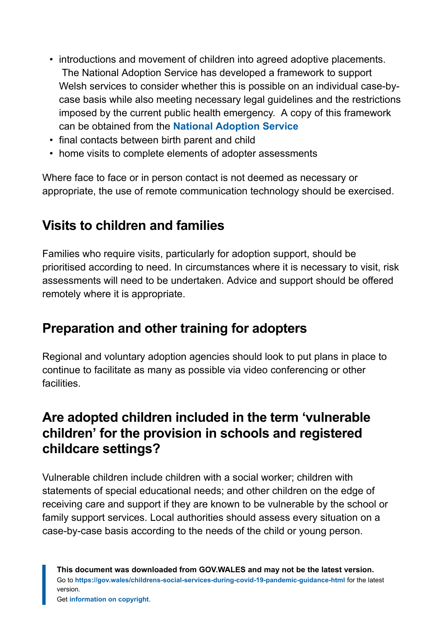- introductions and movement of children into agreed adoptive placements. The National Adoption Service has developed a framework to support Welsh services to consider whether this is possible on an individual case-bycase basis while also meeting necessary legal guidelines and the restrictions imposed by the current public health emergency. A copy of this framework can be obtained from the **[National Adoption Service](https://www.adoptcymru.com/)**
- final contacts between birth parent and child
- home visits to complete elements of adopter assessments

Where face to face or in person contact is not deemed as necessary or appropriate, the use of remote communication technology should be exercised.

### **Visits to children and families**

Families who require visits, particularly for adoption support, should be prioritised according to need. In circumstances where it is necessary to visit, risk assessments will need to be undertaken. Advice and support should be offered remotely where it is appropriate.

### **Preparation and other training for adopters**

Regional and voluntary adoption agencies should look to put plans in place to continue to facilitate as many as possible via video conferencing or other facilities.

### **Are adopted children included in the term 'vulnerable children' for the provision in schools and registered childcare settings?**

Vulnerable children include children with a social worker; children with statements of special educational needs; and other children on the edge of receiving care and support if they are known to be vulnerable by the school or family support services. Local authorities should assess every situation on a case-by-case basis according to the needs of the child or young person.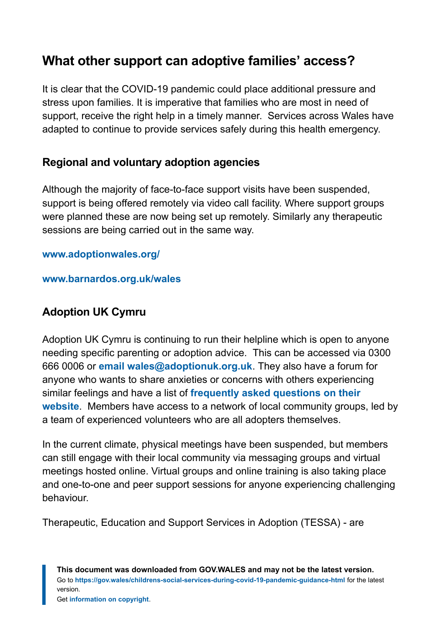### **What other support can adoptive families' access?**

It is clear that the COVID-19 pandemic could place additional pressure and stress upon families. It is imperative that families who are most in need of support, receive the right help in a timely manner. Services across Wales have adapted to continue to provide services safely during this health emergency.

#### **Regional and voluntary adoption agencies**

Although the majority of face-to-face support visits have been suspended, support is being offered remotely via video call facility. Where support groups were planned these are now being set up remotely. Similarly any therapeutic sessions are being carried out in the same way.

#### **[www.adoptionwales.org/](https://www.adoptionwales.org/)**

#### **[www.barnardos.org.uk/wales](https://www.barnardos.org.uk/wales)**

#### **Adoption UK Cymru**

Adoption UK Cymru is continuing to run their helpline which is open to anyone needing specific parenting or adoption advice. This can be accessed via 0300 666 0006 or **[email wales@adoptionuk.org.uk](mailto:wales@adoptionuk.org.uk)**. They also have a forum for anyone who wants to share anxieties or concerns with others experiencing similar feelings and have a list of **[frequently asked questions on their](https://www.adoptionuk.org/Wales) [website](https://www.adoptionuk.org/Wales)**. Members have access to a network of local community groups, led by a team of experienced volunteers who are all adopters themselves.

In the current climate, physical meetings have been suspended, but members can still engage with their local community via messaging groups and virtual meetings hosted online. Virtual groups and online training is also taking place and one-to-one and peer support sessions for anyone experiencing challenging behaviour.

Therapeutic, Education and Support Services in Adoption (TESSA) - are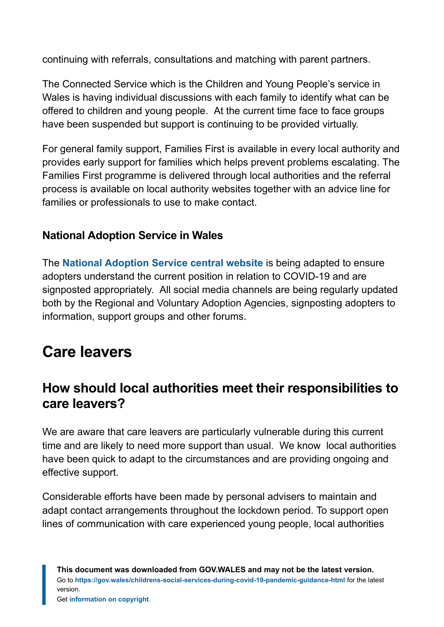continuing with referrals, consultations and matching with parent partners.

The Connected Service which is the Children and Young People's service in Wales is having individual discussions with each family to identify what can be offered to children and young people. At the current time face to face groups have been suspended but support is continuing to be provided virtually.

For general family support, Families First is available in every local authority and provides early support for families which helps prevent problems escalating. The Families First programme is delivered through local authorities and the referral process is available on local authority websites together with an advice line for families or professionals to use to make contact.

#### **National Adoption Service in Wales**

The **[National Adoption Service central website](https://www.adoptcymru.com/)** is being adapted to ensure adopters understand the current position in relation to COVID-19 and are signposted appropriately. All social media channels are being regularly updated both by the Regional and Voluntary Adoption Agencies, signposting adopters to information, support groups and other forums.

# <span id="page-33-0"></span>**Care leavers**

### **How should local authorities meet their responsibilities to care leavers?**

We are aware that care leavers are particularly vulnerable during this current time and are likely to need more support than usual. We know local authorities have been quick to adapt to the circumstances and are providing ongoing and effective support.

Considerable efforts have been made by personal advisers to maintain and adapt contact arrangements throughout the lockdown period. To support open lines of communication with care experienced young people, local authorities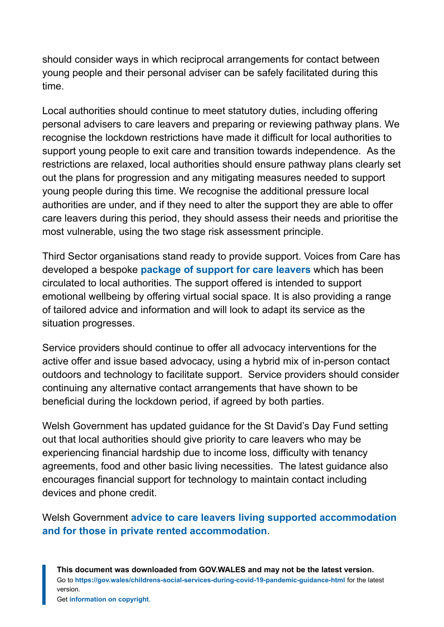should consider ways in which reciprocal arrangements for contact between young people and their personal adviser can be safely facilitated during this time.

Local authorities should continue to meet statutory duties, including offering personal advisers to care leavers and preparing or reviewing pathway plans. We recognise the lockdown restrictions have made it difficult for local authorities to support young people to exit care and transition towards independence. As the restrictions are relaxed, local authorities should ensure pathway plans clearly set out the plans for progression and any mitigating measures needed to support young people during this time. We recognise the additional pressure local authorities are under, and if they need to alter the support they are able to offer care leavers during this period, they should assess their needs and prioritise the most vulnerable, using the two stage risk assessment principle.

Third Sector organisations stand ready to provide support. Voices from Care has developed a bespoke **[package of support for care leavers](https://eur01.safelinks.protection.outlook.com/?url=http%3A%2F%2Fvfcc.org.uk%2Fcoronavirus%2F&data=02%7C01%7CHenry.Vaile%40gov.wales%7Cbed2c8c196f74327b6de08d7db0cc7e0%7Ca2cc36c592804ae78887d06dab89216b%7C0%7C0%7C637218720243994957&sdata=xvHP9GGst0cjT17Tm7EJXhjsCmfJoHI5a%2FFdovc3aK8%3D&reserved=0)** which has been circulated to local authorities. The support offered is intended to support emotional wellbeing by offering virtual social space. It is also providing a range of tailored advice and information and will look to adapt its service as the situation progresses.

Service providers should continue to offer all advocacy interventions for the active offer and issue based advocacy, using a hybrid mix of in-person contact outdoors and technology to facilitate support. Service providers should consider continuing any alternative contact arrangements that have shown to be beneficial during the lockdown period, if agreed by both parties.

Welsh Government has updated guidance for the St David's Day Fund setting out that local authorities should give priority to care leavers who may be experiencing financial hardship due to income loss, difficulty with tenancy agreements, food and other basic living necessities. The latest guidance also encourages financial support for technology to maintain contact including devices and phone credit.

Welsh Government **[advice to care leavers living supported accommodation](https://gov.wales/housing-coronavirus) [and for those in private rented accommodation](https://gov.wales/housing-coronavirus)**.

**This document was downloaded from GOV.WALES and may not be the latest version.** Go to **<https://gov.wales/childrens-social-services-during-covid-19-pandemic-guidance-html>** for the latest version.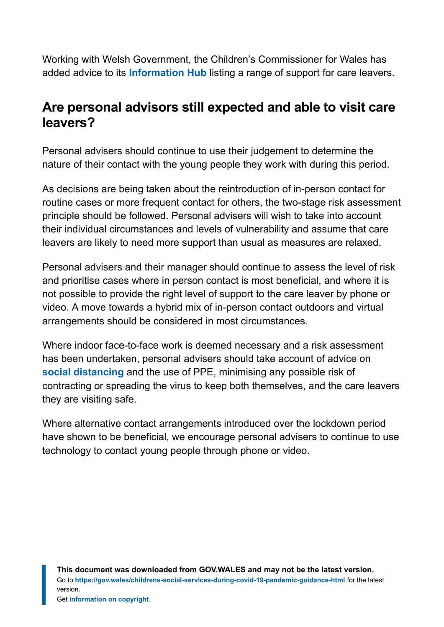Working with Welsh Government, the Children's Commissioner for Wales has added advice to its **[Information Hub](https://www.childcomwales.org.uk/coronavirus/%C2%A0)** listing a range of support for care leavers.

### **Are personal advisors still expected and able to visit care leavers?**

Personal advisers should continue to use their judgement to determine the nature of their contact with the young people they work with during this period.

As decisions are being taken about the reintroduction of in-person contact for routine cases or more frequent contact for others, the two-stage risk assessment principle should be followed. Personal advisers will wish to take into account their individual circumstances and levels of vulnerability and assume that care leavers are likely to need more support than usual as measures are relaxed.

Personal advisers and their manager should continue to assess the level of risk and prioritise cases where in person contact is most beneficial, and where it is not possible to provide the right level of support to the care leaver by phone or video. A move towards a hybrid mix of in-person contact outdoors and virtual arrangements should be considered in most circumstances.

Where indoor face-to-face work is deemed necessary and a risk assessment has been undertaken, personal advisers should take account of advice on **[social distancing](https://www.gov.uk/government/publications/covid-19-guidance-on-social-distancing-and-for-vulnerable-people)** and the use of PPE, minimising any possible risk of contracting or spreading the virus to keep both themselves, and the care leavers they are visiting safe.

Where alternative contact arrangements introduced over the lockdown period have shown to be beneficial, we encourage personal advisers to continue to use technology to contact young people through phone or video.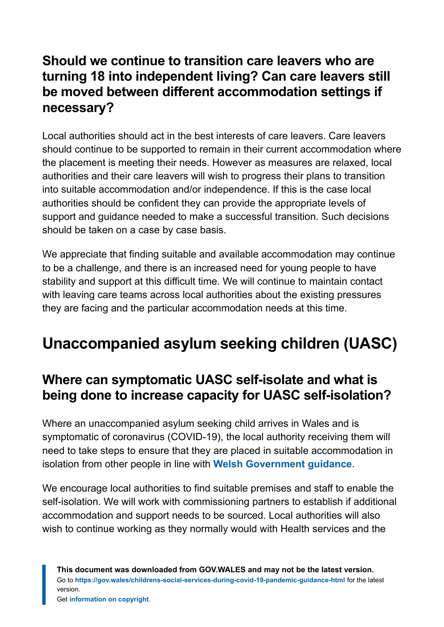### **Should we continue to transition care leavers who are turning 18 into independent living? Can care leavers still be moved between different accommodation settings if necessary?**

Local authorities should act in the best interests of care leavers. Care leavers should continue to be supported to remain in their current accommodation where the placement is meeting their needs. However as measures are relaxed, local authorities and their care leavers will wish to progress their plans to transition into suitable accommodation and/or independence. If this is the case local authorities should be confident they can provide the appropriate levels of support and guidance needed to make a successful transition. Such decisions should be taken on a case by case basis.

We appreciate that finding suitable and available accommodation may continue to be a challenge, and there is an increased need for young people to have stability and support at this difficult time. We will continue to maintain contact with leaving care teams across local authorities about the existing pressures they are facing and the particular accommodation needs at this time.

# <span id="page-36-0"></span>**Unaccompanied asylum seeking children (UASC)**

### **Where can symptomatic UASC self-isolate and what is being done to increase capacity for UASC self-isolation?**

Where an unaccompanied asylum seeking child arrives in Wales and is symptomatic of coronavirus (COVID-19), the local authority receiving them will need to take steps to ensure that they are placed in suitable accommodation in isolation from other people in line with **[Welsh Government](https://gov.wales/self-isolation-stay-home-guidance-households-possible-coronavirus) guidance**.

We encourage local authorities to find suitable premises and staff to enable the self-isolation. We will work with commissioning partners to establish if additional accommodation and support needs to be sourced. Local authorities will also wish to continue working as they normally would with Health services and the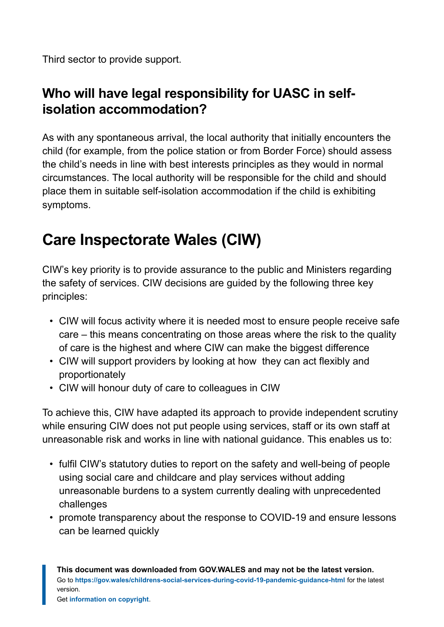Third sector to provide support.

### **Who will have legal responsibility for UASC in selfisolation accommodation?**

As with any spontaneous arrival, the local authority that initially encounters the child (for example, from the police station or from Border Force) should assess the child's needs in line with best interests principles as they would in normal circumstances. The local authority will be responsible for the child and should place them in suitable self-isolation accommodation if the child is exhibiting symptoms.

# <span id="page-37-0"></span>**Care Inspectorate Wales (CIW)**

CIW's key priority is to provide assurance to the public and Ministers regarding the safety of services. CIW decisions are guided by the following three key principles:

- CIW will focus activity where it is needed most to ensure people receive safe care – this means concentrating on those areas where the risk to the quality of care is the highest and where CIW can make the biggest difference
- CIW will support providers by looking at how they can act flexibly and proportionately
- CIW will honour duty of care to colleagues in CIW

To achieve this, CIW have adapted its approach to provide independent scrutiny while ensuring CIW does not put people using services, staff or its own staff at unreasonable risk and works in line with national guidance. This enables us to:

- fulfil CIW's statutory duties to report on the safety and well-being of people using social care and childcare and play services without adding unreasonable burdens to a system currently dealing with unprecedented challenges
- promote transparency about the response to COVID-19 and ensure lessons can be learned quickly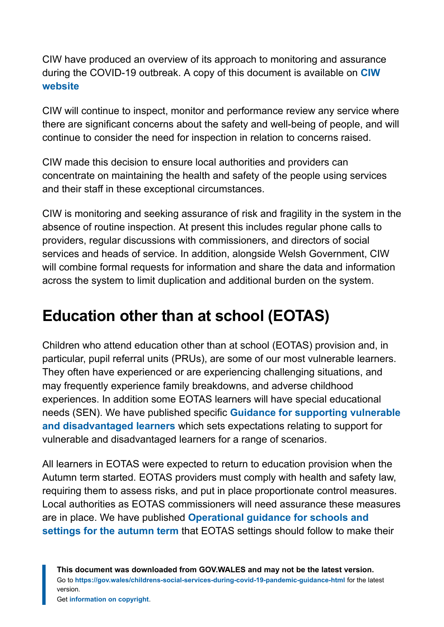CIW have produced an overview of its approach to monitoring and assurance during the COVID-19 outbreak. A copy of this document is available on **[CIW](https://careinspectorate.wales/200513-how-we-ensure-quality-and-safety-services-during-covid-19-pandemic) [website](https://careinspectorate.wales/200513-how-we-ensure-quality-and-safety-services-during-covid-19-pandemic)**

CIW will continue to inspect, monitor and performance review any service where there are significant concerns about the safety and well-being of people, and will continue to consider the need for inspection in relation to concerns raised.

CIW made this decision to ensure local authorities and providers can concentrate on maintaining the health and safety of the people using services and their staff in these exceptional circumstances.

CIW is monitoring and seeking assurance of risk and fragility in the system in the absence of routine inspection. At present this includes regular phone calls to providers, regular discussions with commissioners, and directors of social services and heads of service. In addition, alongside Welsh Government, CIW will combine formal requests for information and share the data and information across the system to limit duplication and additional burden on the system.

# <span id="page-38-0"></span>**Education other than at school (EOTAS)**

Children who attend education other than at school (EOTAS) provision and, in particular, pupil referral units (PRUs), are some of our most vulnerable learners. They often have experienced or are experiencing challenging situations, and may frequently experience family breakdowns, and adverse childhood experiences. In addition some EOTAS learners will have special educational needs (SEN). We have published specific **[Guidance for supporting vulnerable](https://gov.wales/guidance-supporting-vulnerable-and-disadvantaged-learners-html#section-54181) [and disadvantaged learners](https://gov.wales/guidance-supporting-vulnerable-and-disadvantaged-learners-html#section-54181)** which sets expectations relating to support for vulnerable and disadvantaged learners for a range of scenarios.

All learners in EOTAS were expected to return to education provision when the Autumn term started. EOTAS providers must comply with health and safety law, requiring them to assess risks, and put in place proportionate control measures. Local authorities as EOTAS commissioners will need assurance these measures are in place. We have published **[Operational guidance for schools and](https://gov.wales/operational-guidance-schools-and-settings-autumn-term-version-5-html) [settings for the autumn term](https://gov.wales/operational-guidance-schools-and-settings-autumn-term-version-5-html)** that EOTAS settings should follow to make their

**This document was downloaded from GOV.WALES and may not be the latest version.** Go to **<https://gov.wales/childrens-social-services-during-covid-19-pandemic-guidance-html>** for the latest version.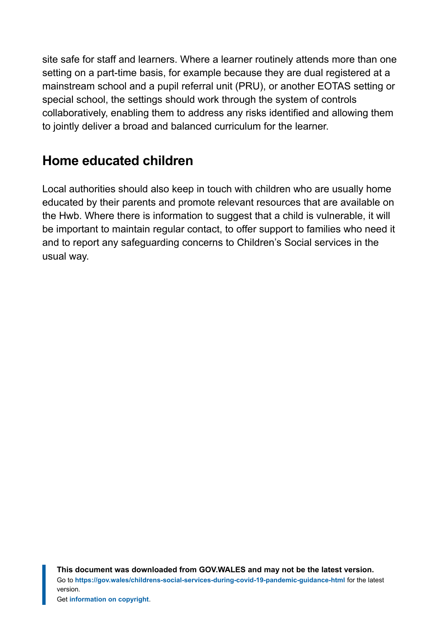site safe for staff and learners. Where a learner routinely attends more than one setting on a part-time basis, for example because they are dual registered at a mainstream school and a pupil referral unit (PRU), or another EOTAS setting or special school, the settings should work through the system of controls collaboratively, enabling them to address any risks identified and allowing them to jointly deliver a broad and balanced curriculum for the learner.

### **Home educated children**

Local authorities should also keep in touch with children who are usually home educated by their parents and promote relevant resources that are available on the Hwb. Where there is information to suggest that a child is vulnerable, it will be important to maintain regular contact, to offer support to families who need it and to report any safeguarding concerns to Children's Social services in the usual way.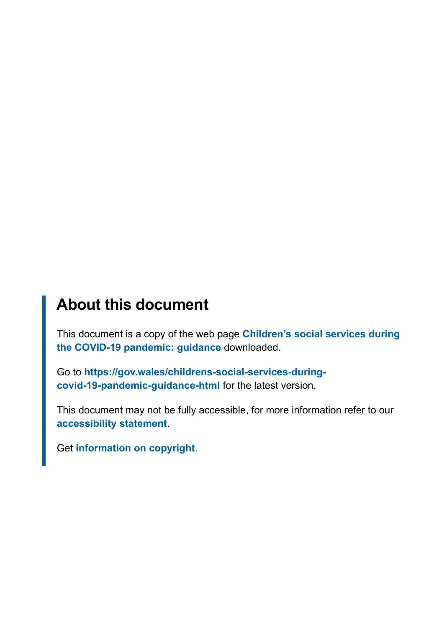### **About this document**

This document is a copy of the web page **[Children's social services during](https://gov.wales/childrens-social-services-during-covid-19-pandemic-guidance-html) [the COVID-19 pandemic: guidance](https://gov.wales/childrens-social-services-during-covid-19-pandemic-guidance-html)** downloaded.

Go to **[https://gov.wales/childrens-social-services-during](https://gov.wales/childrens-social-services-during-covid-19-pandemic-guidance-html)[covid-19-pandemic-guidance-html](https://gov.wales/childrens-social-services-during-covid-19-pandemic-guidance-html)** for the latest version.

This document may not be fully accessible, for more information refer to our **[accessibility statement](https://gov.wales/accessibility-statement-govwales)**.